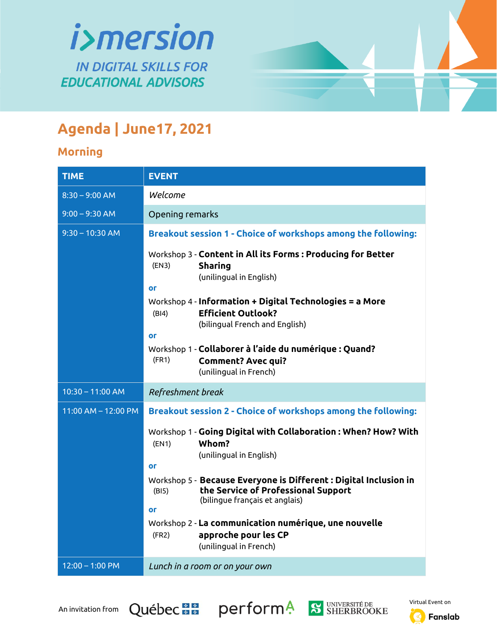

## **Agenda | June17, 2021**

## **Morning**

| <b>TIME</b>             | <b>EVENT</b>                                                                                                                                                                                                                       |
|-------------------------|------------------------------------------------------------------------------------------------------------------------------------------------------------------------------------------------------------------------------------|
| $8:30 - 9:00$ AM        | Welcome                                                                                                                                                                                                                            |
| $9:00 - 9:30$ AM        | Opening remarks                                                                                                                                                                                                                    |
| $9:30 - 10:30$ AM       | Breakout session 1 - Choice of workshops among the following:                                                                                                                                                                      |
|                         | Workshop 3 - Content in All its Forms: Producing for Better<br>(EN3)<br><b>Sharing</b><br>(unilingual in English)<br><b>Or</b><br>Workshop $4$ - Information + Digital Technologies = a More<br><b>Efficient Outlook?</b><br>(B 4) |
|                         | (bilingual French and English)<br><b>Or</b>                                                                                                                                                                                        |
|                         | Workshop 1 - Collaborer à l'aide du numérique : Quand?<br>(FR1)<br><b>Comment? Avec qui?</b><br>(unilingual in French)                                                                                                             |
| $10:30 - 11:00$ AM      | Refreshment break                                                                                                                                                                                                                  |
| $11:00$ AM $- 12:00$ PM | Breakout session 2 - Choice of workshops among the following:                                                                                                                                                                      |
|                         | Workshop 1 - Going Digital with Collaboration: When? How? With<br>Whom?<br>(EN1)<br>(unilingual in English)<br><b>Or</b>                                                                                                           |
|                         | Workshop 5 - Because Everyone is Different : Digital Inclusion in<br>the Service of Professional Support<br>(B15)<br>(bilingue français et anglais)<br><b>Or</b>                                                                   |
|                         | Workshop 2 - La communication numérique, une nouvelle<br>approche pour les CP<br>(FR2)<br>(unilingual in French)                                                                                                                   |
| $12:00 - 1:00$ PM       | Lunch in a room or on your own                                                                                                                                                                                                     |

An invitation from Québec<sup>1</sup> Perform<sup>4</sup>







Fanslab